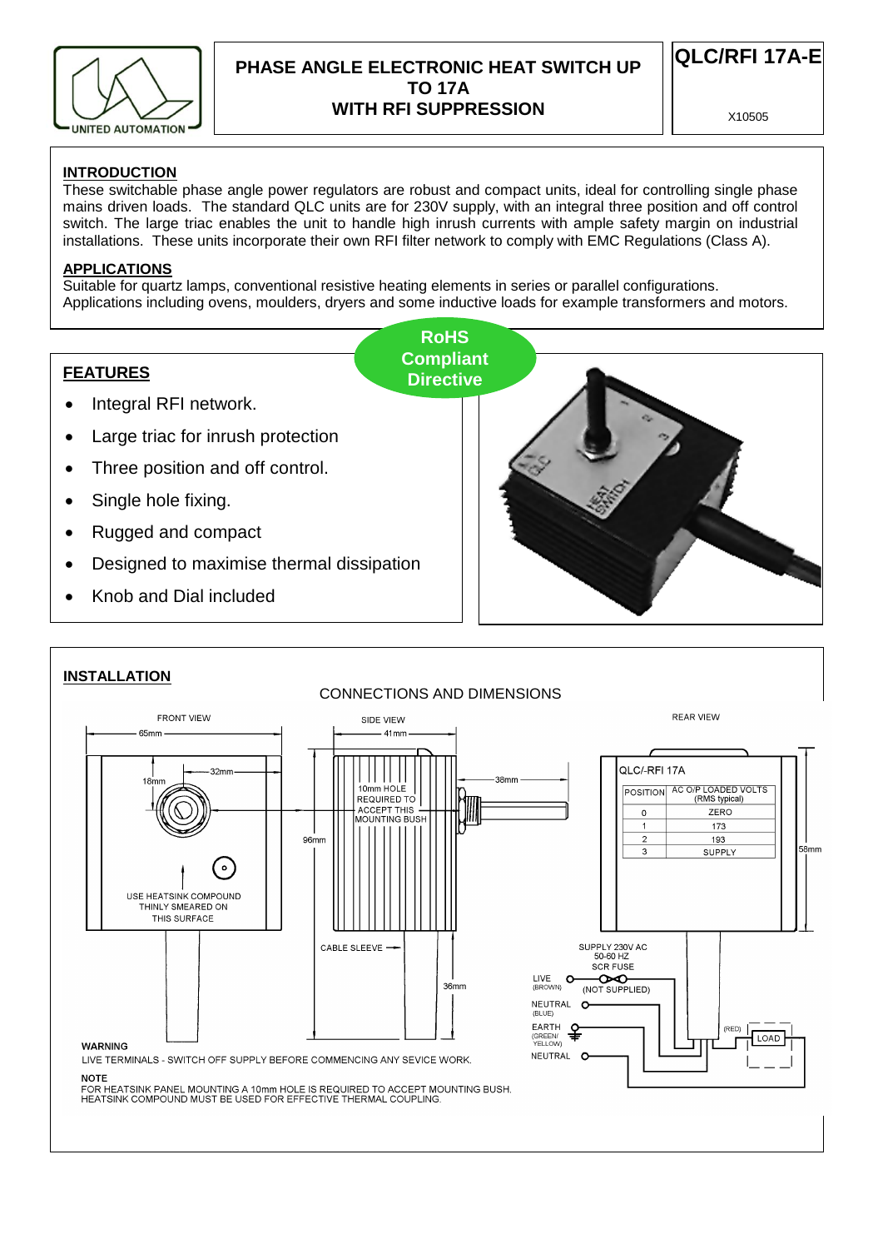

## **PHASE ANGLE ELECTRONIC HEAT SWITCH UP TO 17A WITH RFI SUPPRESSION**

**QLC/RFI 17A-E**

X10505

### **INTRODUCTION**

These switchable phase angle power regulators are robust and compact units, ideal for controlling single phase mains driven loads. The standard QLC units are for 230V supply, with an integral three position and off control switch. The large triac enables the unit to handle high inrush currents with ample safety margin on industrial installations. These units incorporate their own RFI filter network to comply with EMC Regulations (Class A).

#### **APPLICATIONS**

Suitable for quartz lamps, conventional resistive heating elements in series or parallel configurations. Applications including ovens, moulders, dryers and some inductive loads for example transformers and motors.